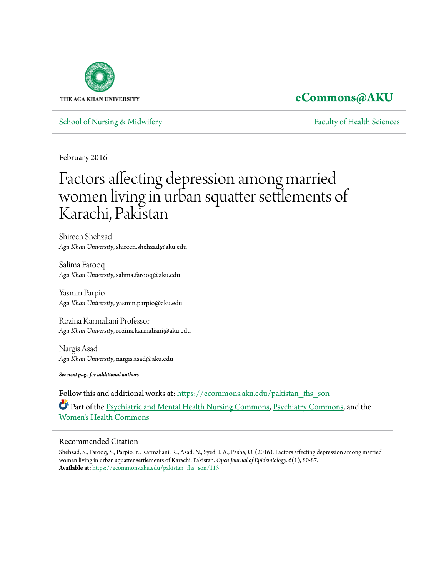

# **[eCommons@AKU](https://ecommons.aku.edu?utm_source=ecommons.aku.edu%2Fpakistan_fhs_son%2F113&utm_medium=PDF&utm_campaign=PDFCoverPages)**

[School of Nursing & Midwifery](https://ecommons.aku.edu/pakistan_fhs_son?utm_source=ecommons.aku.edu%2Fpakistan_fhs_son%2F113&utm_medium=PDF&utm_campaign=PDFCoverPages) **[Faculty of Health Sciences](https://ecommons.aku.edu/pakistan_fhs?utm_source=ecommons.aku.edu%2Fpakistan_fhs_son%2F113&utm_medium=PDF&utm_campaign=PDFCoverPages)** Faculty of Health Sciences

February 2016

# Factors affecting depression among married women living in urban squatter settlements of Karachi, Pakistan

Shireen Shehzad *Aga Khan University*, shireen.shehzad@aku.edu

Salima Farooq *Aga Khan University*, salima.farooq@aku.edu

Yasmin Parpio *Aga Khan University*, yasmin.parpio@aku.edu

Rozina Karmaliani Professor *Aga Khan University*, rozina.karmaliani@aku.edu

Nargis Asad *Aga Khan University*, nargis.asad@aku.edu

*See next page for additional authors*

Follow this and additional works at: [https://ecommons.aku.edu/pakistan\\_fhs\\_son](https://ecommons.aku.edu/pakistan_fhs_son?utm_source=ecommons.aku.edu%2Fpakistan_fhs_son%2F113&utm_medium=PDF&utm_campaign=PDFCoverPages) Part of the [Psychiatric and Mental Health Nursing Commons,](http://network.bepress.com/hgg/discipline/724?utm_source=ecommons.aku.edu%2Fpakistan_fhs_son%2F113&utm_medium=PDF&utm_campaign=PDFCoverPages) [Psychiatry Commons,](http://network.bepress.com/hgg/discipline/704?utm_source=ecommons.aku.edu%2Fpakistan_fhs_son%2F113&utm_medium=PDF&utm_campaign=PDFCoverPages) and the [Women's Health Commons](http://network.bepress.com/hgg/discipline/1241?utm_source=ecommons.aku.edu%2Fpakistan_fhs_son%2F113&utm_medium=PDF&utm_campaign=PDFCoverPages)

## Recommended Citation

Shehzad, S., Farooq, S., Parpio, Y., Karmaliani, R., Asad, N., Syed, I. A., Pasha, O. (2016). Factors affecting depression among married women living in urban squatter settlements of Karachi, Pakistan. *Open Journal of Epidemiology, 6*(1), 80-87. **Available at:** [https://ecommons.aku.edu/pakistan\\_fhs\\_son/113](https://ecommons.aku.edu/pakistan_fhs_son/113)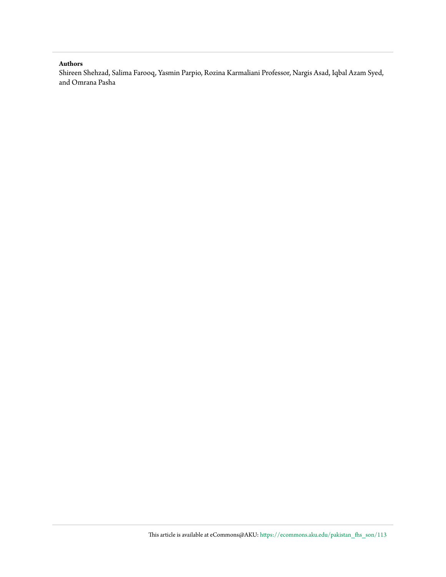#### **Authors**

Shireen Shehzad, Salima Farooq, Yasmin Parpio, Rozina Karmaliani Professor, Nargis Asad, Iqbal Azam Syed, and Omrana Pasha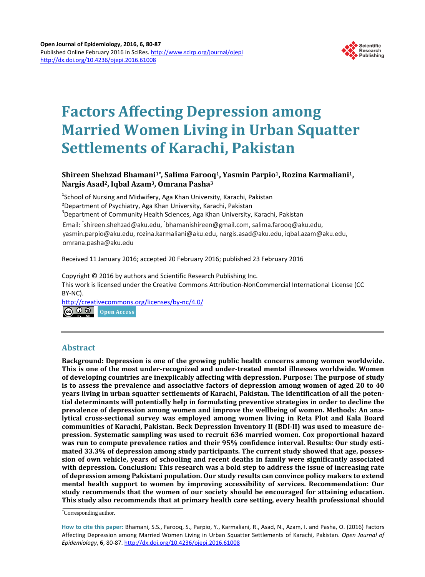

# **Factors Affecting Depression among Married Women Living in Urban Squatter Settlements of Karachi, Pakistan**

# **Shireen Shehzad Bhamani1\*, Salima Farooq1, Yasmin Parpio1, Rozina Karmaliani1, Nargis Asad2, Iqbal Azam3, Omrana Pasha3**

<sup>1</sup>School of Nursing and Midwifery, Aga Khan University, Karachi, Pakistan ²Department of Psychiatry, Aga Khan University, Karachi, Pakistan 3  $3$ Department of Community Health Sciences, Aga Khan University, Karachi, Pakistan Email: shireen.shehzad@aku.edu, bhamanishireen@gmail.com, salima.farooq@aku.edu, yasmin.parpio@aku.edu, rozina.karmaliani@aku.edu, nargis.asad@aku.edu, iqbal.azam@aku.edu, omrana.pasha@aku.edu

Received 11 January 2016; accepted 20 February 2016; published 23 February 2016

Copyright © 2016 by authors and Scientific Research Publishing Inc.

This work is licensed under the Creative Commons Attribution-NonCommercial International License (CC BY-NC).

<http://creativecommons.org/licenses/by-nc/4.0/> <u>ම 0 ම</u> Open Access

### **Abstract**

**Background: Depression is one of the growing public health concerns among women worldwide. This is one of the most under-recognized and under-treated mental illnesses worldwide. Women of developing countries are inexplicably affecting with depression. Purpose: The purpose of study is to assess the prevalence and associative factors of depression among women of aged 20 to 40 years living in urban squatter settlements of Karachi, Pakistan. The identification of all the potential determinants will potentially help in formulating preventive strategies in order to decline the prevalence of depression among women and improve the wellbeing of women. Methods: An analytical cross-sectional survey was employed among women living in Reta Plot and Kala Board communities of Karachi, Pakistan. Beck Depression Inventory II (BDI-II) was used to measure depression. Systematic sampling was used to recruit 636 married women. Cox proportional hazard was run to compute prevalence ratios and their 95% confidence interval. Results: Our study estimated 33.3% of depression among study participants. The current study showed that age, possession of own vehicle, years of schooling and recent deaths in family were significantly associated with depression. Conclusion: This research was a bold step to address the issue of increasing rate of depression among Pakistani population. Our study results can convince policy makers to extend mental health support to women by improving accessibility of services. Recommendation: Our study recommends that the women of our society should be encouraged for attaining education. This study also recommends that at primary health care setting, every health professional should** 

\* Corresponding author.

**How to cite this paper:** Bhamani, S.S., Farooq, S., Parpio, Y., Karmaliani, R., Asad, N., Azam, I. and Pasha, O. (2016) Factors Affecting Depression among Married Women Living in Urban Squatter Settlements of Karachi, Pakistan. *Open Journal of Epidemiology*, **6**, 80-87. <http://dx.doi.org/10.4236/ojepi.2016.61008>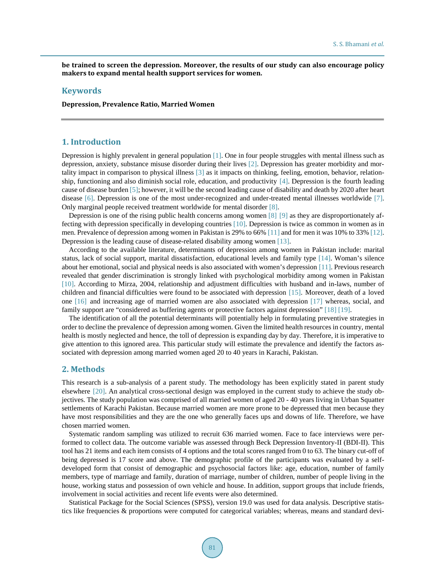**be trained to screen the depression. Moreover, the results of our study can also encourage policy makers to expand mental health support services for women.**

#### **Keywords**

**Depression, Prevalence Ratio, Married Women**

#### **1. Introduction**

Depression is highly prevalent in general population [\[1\].](#page-7-0) One in four people struggles with mental illness such as depression, anxiety, substance misuse disorder during their lives [\[2\].](#page-8-0) Depression has greater morbidity and mortality impact in comparison to physical illness [\[3\]](#page-8-1) as it impacts on thinking, feeling, emotion, behavior, relationship, functioning and also diminish social role, education, and productivity [\[4\].](#page-8-2) Depression is the fourth leading cause of disease burden [\[5\];](#page-8-3) however, it will be the second leading cause of disability and death by 2020 after heart disease [\[6\].](#page-8-4) Depression is one of the most under-recognized and under-treated mental illnesses worldwide [\[7\].](#page-8-5) Only marginal people received treatment worldwide for mental disorder [\[8\].](#page-8-6)

Depression is one of the rising public health concerns among women [\[8\]](#page-8-6) [\[9\]](#page-8-7) as they are disproportionately affecting with depression specifically in developing countries [\[10\].](#page-8-8) Depression is twice as common in women as in men. Prevalence of depression among women in Pakistan is 29% to 66[% \[11\]](#page-8-9) and for men it was 10% to 33% [\[12\].](#page-8-10) Depression is the leading cause of disease-related disability among women [\[13\].](#page-8-11)

According to the available literature, determinants of depression among women in Pakistan include: marital status, lack of social support, marital dissatisfaction, educational levels and family type [\[14\].](#page-8-12) Woman's silence about her emotional, social and physical needs is also associated with women's depression [\[11\].](#page-8-9) Previous research revealed that gender discrimination is strongly linked with psychological morbidity among women in Pakistan [\[10\].](#page-8-8) According to Mirza, 2004, relationship and adjustment difficulties with husband and in-laws, number of children and financial difficulties were found to be associated with depression [\[15\].](#page-8-13) Moreover, death of a loved one [\[16\]](#page-8-14) and increasing age of married women are also associated with depression [\[17\]](#page-8-15) whereas, social, and family support are "considered as buffering agents or protective factors against depression" [\[18\]](#page-8-16) [\[19\].](#page-8-17)

The identification of all the potential determinants will potentially help in formulating preventive strategies in order to decline the prevalence of depression among women. Given the limited health resources in country, mental health is mostly neglected and hence, the toll of depression is expanding day by day. Therefore, it is imperative to give attention to this ignored area. This particular study will estimate the prevalence and identify the factors associated with depression among married women aged 20 to 40 years in Karachi, Pakistan.

#### **2. Methods**

This research is a sub-analysis of a parent study. The methodology has been explicitly stated in parent study elsewhere [\[20\].](#page-8-18) An analytical cross-sectional design was employed in the current study to achieve the study objectives. The study population was comprised of all married women of aged 20 - 40 years living in Urban Squatter settlements of Karachi Pakistan. Because married women are more prone to be depressed that men because they have most responsibilities and they are the one who generally faces ups and downs of life. Therefore, we have chosen married women.

Systematic random sampling was utilized to recruit 636 married women. Face to face interviews were performed to collect data. The outcome variable was assessed through Beck Depression Inventory-II (BDI-II). This tool has 21 items and each item consists of 4 options and the total scores ranged from 0 to 63. The binary cut-off of being depressed is 17 score and above. The demographic profile of the participants was evaluated by a selfdeveloped form that consist of demographic and psychosocial factors like: age, education, number of family members, type of marriage and family, duration of marriage, number of children, number of people living in the house, working status and possession of own vehicle and house. In addition, support groups that include friends, involvement in social activities and recent life events were also determined.

Statistical Package for the Social Sciences (SPSS), version 19.0 was used for data analysis. Descriptive statistics like frequencies & proportions were computed for categorical variables; whereas, means and standard devi-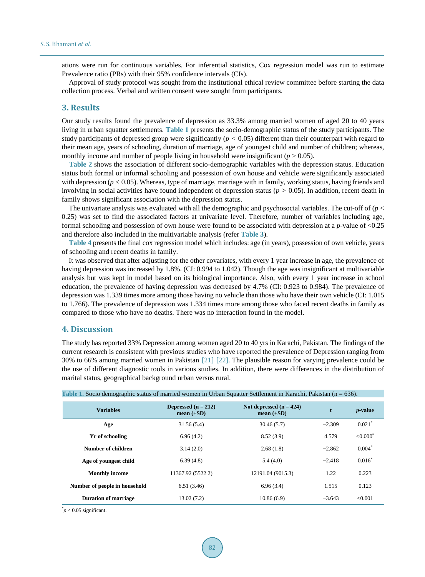ations were run for continuous variables. For inferential statistics, Cox regression model was run to estimate Prevalence ratio (PRs) with their 95% confidence intervals (CIs).

Approval of study protocol was sought from the institutional ethical review committee before starting the data collection process. Verbal and written consent were sought from participants.

#### **3. Results**

Our study results found the prevalence of depression as 33.3% among married women of aged 20 to 40 years living in urban squatter settlements. **[Table 1](#page-4-0)** presents the socio-demographic status of the study participants. The study participants of depressed group were significantly (*p* < 0.05) different than their counterpart with regard to their mean age, years of schooling, duration of marriage, age of youngest child and number of children; whereas, monthly income and number of people living in household were insignificant  $(p > 0.05)$ .

**[Table 2](#page-5-0)** shows the association of different socio-demographic variables with the depression status. Education status both formal or informal schooling and possession of own house and vehicle were significantly associated with depression (*p* < 0.05). Whereas, type of marriage, marriage with in family, working status, having friends and involving in social activities have found independent of depression status ( $p > 0.05$ ). In addition, recent death in family shows significant association with the depression status.

The univariate analysis was evaluated with all the demographic and psychosocial variables. The cut-off of  $(p <$ 0.25) was set to find the associated factors at univariate level. Therefore, number of variables including age, formal schooling and possession of own house were found to be associated with depression at a *p*-value of <0.25 and therefore also included in the multivariable analysis (refer **[Table 3](#page-6-0)**).

**[Table 4](#page-6-1)** presents the final cox regression model which includes: age (in years), possession of own vehicle, years of schooling and recent deaths in family.

It was observed that after adjusting for the other covariates, with every 1 year increase in age, the prevalence of having depression was increased by 1.8%. (CI: 0.994 to 1.042). Though the age was insignificant at multivariable analysis but was kept in model based on its biological importance. Also, with every 1 year increase in school education, the prevalence of having depression was decreased by 4.7% (CI: 0.923 to 0.984). The prevalence of depression was 1.339 times more among those having no vehicle than those who have their own vehicle (CI: 1.015 to 1.766). The prevalence of depression was 1.334 times more among those who faced recent deaths in family as compared to those who have no deaths. There was no interaction found in the model.

### **4. Discussion**

The study has reported 33% Depression among women aged 20 to 40 yrs in Karachi, Pakistan. The findings of the current research is consistent with previous studies who have reported the prevalence of Depression ranging from 30% to 66% among married women in Pakistan [\[21\]](#page-8-19) [\[22\].](#page-8-20) The plausible reason for varying prevalence could be the use of different diagnostic tools in various studies. In addition, there were differences in the distribution of marital status, geographical background urban versus rural.

<span id="page-4-0"></span>

| Table 1. Socio demographic status of married women in Urban Squatter Settlement in Karachi, Pakistan ( $n = 636$ ). |                                                                                    |                   |          |                           |
|---------------------------------------------------------------------------------------------------------------------|------------------------------------------------------------------------------------|-------------------|----------|---------------------------|
| <b>Variables</b>                                                                                                    | Depressed $(n = 212)$<br>Not depressed $(n = 424)$<br>mean $(+SD)$<br>mean $(+SD)$ |                   | t        | <i>p</i> -value           |
| Age                                                                                                                 | 31.56(5.4)                                                                         | 30.46(5.7)        | $-2.309$ | $0.021$ <sup>*</sup>      |
| Yr of schooling                                                                                                     | 6.96(4.2)                                                                          | 8.52(3.9)         | 4.579    | $\leq 0.000$ <sup>*</sup> |
| Number of children                                                                                                  | 3.14(2.0)                                                                          | 2.68(1.8)         | $-2.862$ | $0.004*$                  |
| Age of youngest child                                                                                               | 6.39(4.8)                                                                          | 5.4(4.0)          | $-2.418$ | $0.016*$                  |
| <b>Monthly income</b>                                                                                               | 11367.92 (5522.2)                                                                  | 12191.04 (9015.3) | 1.22     | 0.223                     |
| Number of people in household                                                                                       | 6.51(3.46)                                                                         | 6.96(3.4)         | 1.515    | 0.123                     |
| <b>Duration of marriage</b>                                                                                         | 13.02(7.2)                                                                         | 10.86(6.9)        | $-3.643$ | < 0.001                   |

 $p$  < 0.05 significant.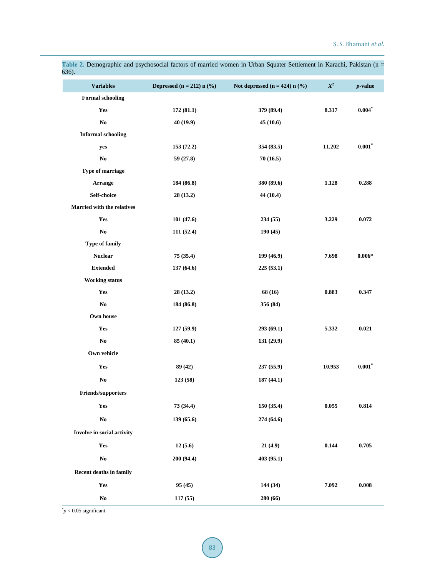| 636).                             |                               |                                             |                    |            |
|-----------------------------------|-------------------------------|---------------------------------------------|--------------------|------------|
| <b>Variables</b>                  | Depressed ( $n = 212$ ) n (%) | Not depressed $(n = 424)$ n $(\frac{6}{6})$ | $\boldsymbol{X}^2$ | $p$ -value |
| <b>Formal schooling</b>           |                               |                                             |                    |            |
| Yes                               | 172(81.1)                     | 379 (89.4)                                  | 8.317              | $0.004$ *  |
| $\mathbf{No}$                     | 40(19.9)                      | 45(10.6)                                    |                    |            |
| <b>Informal schooling</b>         |                               |                                             |                    |            |
| yes                               | 153 (72.2)                    | 354 (83.5)                                  | 11.202             | $0.001$ *  |
| $\mathbf{N}\mathbf{o}$            | 59 (27.8)                     | 70(16.5)                                    |                    |            |
| Type of marriage                  |                               |                                             |                    |            |
| Arrange                           | 184 (86.8)                    | 380 (89.6)                                  | 1.128              | 0.288      |
| Self-choice                       | 28 (13.2)                     | 44 (10.4)                                   |                    |            |
| <b>Married with the relatives</b> |                               |                                             |                    |            |
| Yes                               | 101 (47.6)                    | 234 (55)                                    | 3.229              | 0.072      |
| $\mathbf{No}$                     | 111 (52.4)                    | 190(45)                                     |                    |            |
| <b>Type of family</b>             |                               |                                             |                    |            |
| <b>Nuclear</b>                    | 75 (35.4)                     | 199 (46.9)                                  | 7.698              | $0.006*$   |
| <b>Extended</b>                   | 137 (64.6)                    | 225 (53.1)                                  |                    |            |
| <b>Working status</b>             |                               |                                             |                    |            |
| Yes                               | 28(13.2)                      | 68 (16)                                     | 0.883              | 0.347      |
| No                                | 184 (86.8)                    | 356 (84)                                    |                    |            |
| Own house                         |                               |                                             |                    |            |
| Yes                               | 127 (59.9)                    | 293 (69.1)                                  | 5.332              | 0.021      |
| $\mathbf{No}$                     | 85(40.1)                      | 131 (29.9)                                  |                    |            |
| Own vehicle                       |                               |                                             |                    |            |
| Yes                               | 89(42)                        | 237(55.9)                                   | 10.953             | $0.001$ *  |
| N <sub>0</sub>                    | 123 (58)                      | 187 (44.1)                                  |                    |            |
| Friends/supporters                |                               |                                             |                    |            |
| Yes                               | 73(34.4)                      | 150 (35.4)                                  | 0.055              | 0.814      |
| $\mathbf{No}$                     | 139(65.6)                     | 274 (64.6)                                  |                    |            |
| Involve in social activity        |                               |                                             |                    |            |
| Yes                               | 12(5.6)                       | 21(4.9)                                     | 0.144              | 0.705      |
| $\mathbf{No}$                     | 200 (94.4)                    | 403(95.1)                                   |                    |            |
| <b>Recent deaths in family</b>    |                               |                                             |                    |            |
| Yes                               | 95(45)                        | 144 (34)                                    | 7.092              | 0.008      |
| $\mathbf{N}\mathbf{o}$            | 117(55)                       | 280 (66)                                    |                    |            |
|                                   |                               |                                             |                    |            |

<span id="page-5-0"></span>**Table 2.** Demographic and psychosocial factors of married women in Urban Squater Settlement in Karachi, Pakistan (n =

 $p$  < 0.05 significant.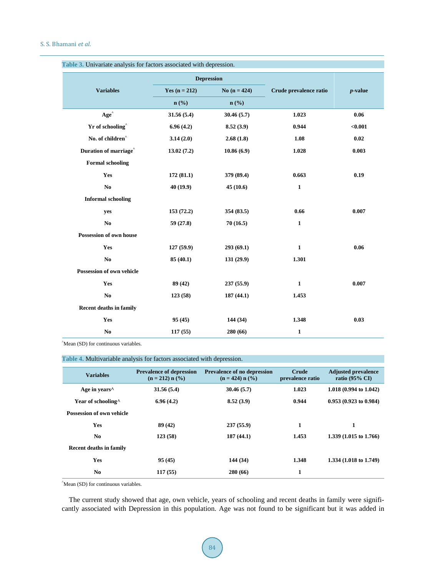<span id="page-6-0"></span>

|                                   | <b>Depression</b> |                |                        |            |
|-----------------------------------|-------------------|----------------|------------------------|------------|
| <b>Variables</b>                  | Yes $(n = 212)$   | No $(n = 424)$ | Crude prevalence ratio | $p$ -value |
|                                   | $n$ (%)           | $n$ (%)        |                        |            |
| Age <sup>^</sup>                  | 31.56 (5.4)       | 30.46 (5.7)    | 1.023                  | 0.06       |
| Yr of schooling <sup>^</sup>      | 6.96(4.2)         | 8.52(3.9)      | 0.944                  | < 0.001    |
| No. of children <sup>^</sup>      | 3.14(2.0)         | 2.68(1.8)      | 1.08                   | 0.02       |
| Duration of marriage <sup>^</sup> | 13.02(7.2)        | 10.86(6.9)     | 1.028                  | 0.003      |
| <b>Formal schooling</b>           |                   |                |                        |            |
| Yes                               | 172 (81.1)        | 379 (89.4)     | 0.663                  | 0.19       |
| $\mathbf{No}$                     | 40 (19.9)         | 45(10.6)       | $\mathbf{1}$           |            |
| <b>Informal schooling</b>         |                   |                |                        |            |
| yes                               | 153(72.2)         | 354 (83.5)     | 0.66                   | 0.007      |
| N <sub>0</sub>                    | 59 (27.8)         | 70(16.5)       | $\mathbf{1}$           |            |
| Possession of own house           |                   |                |                        |            |
| Yes                               | 127 (59.9)        | 293(69.1)      | $\mathbf{1}$           | 0.06       |
| N <sub>0</sub>                    | 85(40.1)          | 131(29.9)      | 1.301                  |            |
| Possession of own vehicle         |                   |                |                        |            |
| Yes                               | 89 (42)           | 237 (55.9)     | $\mathbf{1}$           | 0.007      |
| N <sub>0</sub>                    | 123(58)           | 187(44.1)      | 1.453                  |            |
| <b>Recent deaths in family</b>    |                   |                |                        |            |
| Yes                               | 95(45)            | 144 (34)       | 1.348                  | 0.03       |
| N <sub>0</sub>                    | 117(55)           | 280 (66)       | $\mathbf{1}$           |            |

^ Mean (SD) for continuous variables.

<span id="page-6-1"></span>

|  | <b>Table 4. Multivariable analysis for factors associated with depression.</b> |
|--|--------------------------------------------------------------------------------|
|  |                                                                                |

| <b>Variables</b>                 | <b>Prevalence of depression</b><br>$(n = 212) n$ (%) | <b>Prevalence of no depression</b><br>$(n = 424)$ n $(\frac{9}{6})$ | <b>Crude</b><br>prevalence ratio | <b>Adjusted prevalence</b><br>ratio $(95\% \text{ CI})$ |
|----------------------------------|------------------------------------------------------|---------------------------------------------------------------------|----------------------------------|---------------------------------------------------------|
| Age in years $\wedge$            | 31.56(5.4)                                           | 30.46(5.7)                                                          | 1.023                            | 1.018 $(0.994 \text{ to } 1.042)$                       |
| Year of schooling <sup>^</sup>   | 6.96(4.2)                                            | 8.52(3.9)                                                           | 0.944                            | $0.953(0.923 \text{ to } 0.984)$                        |
| <b>Possession of own vehicle</b> |                                                      |                                                                     |                                  |                                                         |
| <b>Yes</b>                       | 89 (42)                                              | 237(55.9)                                                           | 1                                | 1                                                       |
| N <sub>0</sub>                   | 123(58)                                              | 187(44.1)                                                           | 1.453                            | 1.339 (1.015 to 1.766)                                  |
| <b>Recent deaths in family</b>   |                                                      |                                                                     |                                  |                                                         |
| Yes                              | 95(45)                                               | 144 (34)                                                            | 1.348                            | 1.334 $(1.018 \text{ to } 1.749)$                       |
| N <sub>0</sub>                   | 117(55)                                              | 280(66)                                                             | 1                                |                                                         |

^ Mean (SD) for continuous variables.

The current study showed that age, own vehicle, years of schooling and recent deaths in family were significantly associated with Depression in this population. Age was not found to be significant but it was added in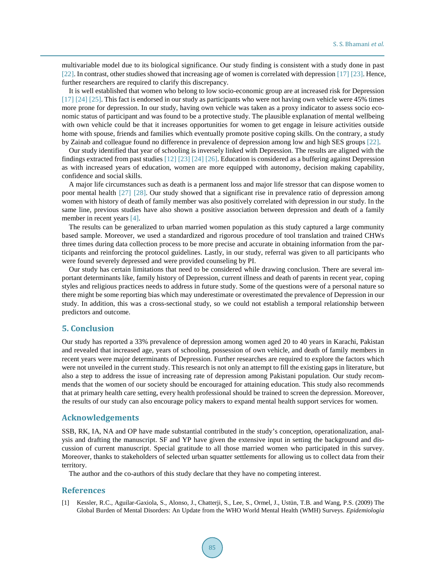multivariable model due to its biological significance. Our study finding is consistent with a study done in past [\[22\].](#page-8-20) In contrast, other studies showed that increasing age of women is correlated with depression [\[17\]](#page-8-15) [\[23\].](#page-8-21) Hence, further researchers are required to clarify this discrepancy.

It is well established that women who belong to low socio-economic group are at increased risk for Depression [\[17\]](#page-8-15) [\[24\]](#page-9-0) [\[25\].](#page-9-1) This fact is endorsed in our study as participants who were not having own vehicle were 45% times more prone for depression. In our study, having own vehicle was taken as a proxy indicator to assess socio economic status of participant and was found to be a protective study. The plausible explanation of mental wellbeing with own vehicle could be that it increases opportunities for women to get engage in leisure activities outside home with spouse, friends and families which eventually promote positive coping skills. On the contrary, a study by Zainab and colleague found no difference in prevalence of depression among low and high SES groups [\[22\].](#page-8-20)

Our study identified that year of schooling is inversely linked with Depression. The results are aligned with the findings extracted from past studie[s \[12\]](#page-8-10) [\[23\]](#page-8-21) [\[24\]](#page-9-0) [\[26\].](#page-9-2) Education is considered as a buffering against Depression as with increased years of education, women are more equipped with autonomy, decision making capability, confidence and social skills.

A major life circumstances such as death is a permanent loss and major life stressor that can dispose women to poor mental health [\[27\]](#page-9-3) [\[28\].](#page-9-4) Our study showed that a significant rise in prevalence ratio of depression among women with history of death of family member was also positively correlated with depression in our study. In the same line, previous studies have also shown a positive association between depression and death of a family member in recent years [\[4\].](#page-8-2)

The results can be generalized to urban married women population as this study captured a large community based sample. Moreover, we used a standardized and rigorous procedure of tool translation and trained CHWs three times during data collection process to be more precise and accurate in obtaining information from the participants and reinforcing the protocol guidelines. Lastly, in our study, referral was given to all participants who were found severely depressed and were provided counseling by PI.

Our study has certain limitations that need to be considered while drawing conclusion. There are several important determinants like, family history of Depression, current illness and death of parents in recent year, coping styles and religious practices needs to address in future study. Some of the questions were of a personal nature so there might be some reporting bias which may underestimate or overestimated the prevalence of Depression in our study. In addition, this was a cross-sectional study, so we could not establish a temporal relationship between predictors and outcome.

#### **5. Conclusion**

Our study has reported a 33% prevalence of depression among women aged 20 to 40 years in Karachi, Pakistan and revealed that increased age, years of schooling, possession of own vehicle, and death of family members in recent years were major determinants of Depression. Further researches are required to explore the factors which were not unveiled in the current study. This research is not only an attempt to fill the existing gaps in literature, but also a step to address the issue of increasing rate of depression among Pakistani population. Our study recommends that the women of our society should be encouraged for attaining education. This study also recommends that at primary health care setting, every health professional should be trained to screen the depression. Moreover, the results of our study can also encourage policy makers to expand mental health support services for women.

#### **Acknowledgements**

SSB, RK, IA, NA and OP have made substantial contributed in the study's conception, operationalization, analysis and drafting the manuscript. SF and YP have given the extensive input in setting the background and discussion of current manuscript. Special gratitude to all those married women who participated in this survey. Moreover, thanks to stakeholders of selected urban squatter settlements for allowing us to collect data from their territory.

The author and the co-authors of this study declare that they have no competing interest.

#### **References**

<span id="page-7-0"></span>[1] Kessler, R.C., Aguilar-Gaxiola, S., Alonso, J., Chatterji, S., Lee, S., Ormel, J., Ustün, T.B. and Wang, P.S. (2009) The Global Burden of Mental Disorders: An Update from the WHO World Mental Health (WMH) Surveys. *Epidemiologia*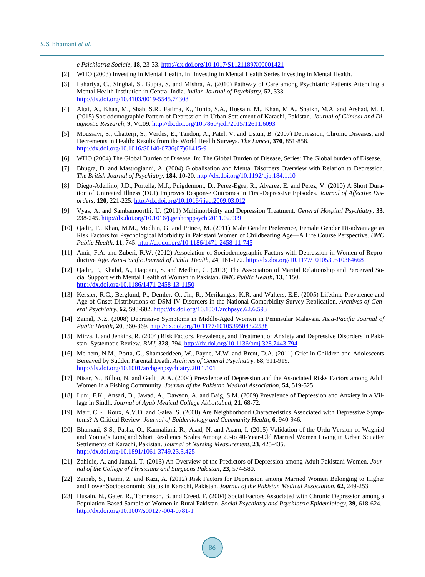*e Psichiatria Sociale*, **18**, 23-33. <http://dx.doi.org/10.1017/S1121189X00001421>

- <span id="page-8-0"></span>[2] WHO (2003) Investing in Mental Health. In: Investing in Mental Health Series Investing in Mental Health.
- <span id="page-8-1"></span>[3] Lahariya, C., Singhal, S., Gupta, S. and Mishra, A. (2010) Pathway of Care among Psychiatric Patients Attending a Mental Health Institution in Central India. *Indian Journal of Psychiatry*, **52**, 333. <http://dx.doi.org/10.4103/0019-5545.74308>
- <span id="page-8-2"></span>[4] Altaf, A., Khan, M., Shah, S.R., Fatima, K., Tunio, S.A., Hussain, M., Khan, M.A., Shaikh, M.A. and Arshad, M.H. (2015) Sociodemographic Pattern of Depression in Urban Settlement of Karachi, Pakistan. *Journal of Clinical and Diagnostic Research*, **9**, VC09. <http://dx.doi.org/10.7860/jcdr/2015/12611.6093>
- <span id="page-8-3"></span>[5] Moussavi, S., Chatterji, S., Verdes, E., Tandon, A., Patel, V. and Ustun, B. (2007) Depression, Chronic Diseases, and Decrements in Health: Results from the World Health Surveys. *The Lancet*, **370**, 851-858. [http://dx.doi.org/10.1016/S0140-6736\(07\)61415-9](http://dx.doi.org/10.1016/S0140-6736(07)61415-9)
- <span id="page-8-4"></span>[6] WHO (2004) The Global Burden of Disease. In: The Global Burden of Disease, Series: The Global burden of Disease.
- <span id="page-8-5"></span>[7] Bhugra, D. and Mastrogianni, A. (2004) Globalisation and Mental Disorders Overview with Relation to Depression. *The British Journal of Psychiatry*, **184**, 10-20. <http://dx.doi.org/10.1192/bjp.184.1.10>
- <span id="page-8-6"></span>[8] Diego-Adellino, J.D., Portella, M.J., Puigdemont, D., Perez-Egea, R., Alvarez, E. and Perez, V. (2010) A Short Duration of Untreated Illness (DUI) Improves Response Outcomes in First-Depressive Episodes. *Journal of Affective Disorders*, **120**, 221-225. <http://dx.doi.org/10.1016/j.jad.2009.03.012>
- <span id="page-8-7"></span>[9] Vyas, A. and Sambamoorthi, U. (2011) Multimorbidity and Depression Treatment. *General Hospital Psychiatry*, **33**, 238-245. <http://dx.doi.org/10.1016/j.genhosppsych.2011.02.009>
- <span id="page-8-8"></span>[10] Qadir, F., Khan, M.M., Medhin, G. and Prince, M. (2011) Male Gender Preference, Female Gender Disadvantage as Risk Factors for Psychological Morbidity in Pakistani Women of Childbearing Age—A Life Course Perspective. *BMC Public Health*, **11**, 745. <http://dx.doi.org/10.1186/1471-2458-11-745>
- <span id="page-8-9"></span>[11] Amir, F.A. and Zuberi, R.W. (2012) Association of Sociodemographic Factors with Depression in Women of Reproductive Age. *Asia-Pacific Journal of Public Health*, **24**, 161-172. <http://dx.doi.org/10.1177/1010539510364668>
- <span id="page-8-10"></span>[12] Qadir, F., Khalid, A., Haqqani, S. and Medhin, G. (2013) The Association of Marital Relationship and Perceived Social Support with Mental Health of Women in Pakistan. *BMC Public Health*, **13**, 1150. <http://dx.doi.org/10.1186/1471-2458-13-1150>
- <span id="page-8-11"></span>[13] Kessler, R.C., Berglund, P., Demler, O., Jin, R., Merikangas, K.R. and Walters, E.E. (2005) Lifetime Prevalence and Age-of-Onset Distributions of DSM-IV Disorders in the National Comorbidity Survey Replication. *Archives of General Psychiatry*, **62**, 593-602. <http://dx.doi.org/10.1001/archpsyc.62.6.593>
- <span id="page-8-12"></span>[14] Zainal, N.Z. (2008) Depressive Symptoms in Middle-Aged Women in Peninsular Malaysia. *Asia-Pacific Journal of Public Health*, **20**, 360-369. <http://dx.doi.org/10.1177/1010539508322538>
- <span id="page-8-13"></span>[15] Mirza, I. and Jenkins, R. (2004) Risk Factors, Prevalence, and Treatment of Anxiety and Depressive Disorders in Pakistan: Systematic Review. *BMJ*, **328**, 794. <http://dx.doi.org/10.1136/bmj.328.7443.794>
- <span id="page-8-14"></span>[16] Melhem, N.M., Porta, G., Shamseddeen, W., Payne, M.W. and Brent, D.A. (2011) Grief in Children and Adolescents Bereaved by Sudden Parental Death. *Archives of General Psychiatry*, **68**, 911-919. <http://dx.doi.org/10.1001/archgenpsychiatry.2011.101>
- <span id="page-8-15"></span>[17] Nisar, N., Billoo, N. and Gadit, A.A. (2004) Prevalence of Depression and the Associated Risks Factors among Adult Women in a Fishing Community. *Journal of the Pakistan Medical Association*, **54**, 519-525.
- <span id="page-8-16"></span>[18] Luni, F.K., Ansari, B., Jawad, A., Dawson, A. and Baig, S.M. (2009) Prevalence of Depression and Anxiety in a Village in Sindh. *Journal of Ayub Medical College Abbottabad*, **21**, 68-72.
- <span id="page-8-17"></span>[19] Mair, C.F., Roux, A.V.D. and Galea, S. (2008) Are Neighborhood Characteristics Associated with Depressive Symptoms? A Critical Review. *Journal of Epidemiology and Community Health*, **6**, 940-946.
- <span id="page-8-18"></span>[20] Bhamani, S.S., Pasha, O., Karmaliani, R., Asad, N. and Azam, I. (2015) Validation of the Urdu Version of Wagnild and Young's Long and Short Resilience Scales Among 20-to 40-Year-Old Married Women Living in Urban Squatter Settlements of Karachi, Pakistan. *Journal of Nursing Measurement*, **23**, 425-435. <http://dx.doi.org/10.1891/1061-3749.23.3.425>
- <span id="page-8-19"></span>[21] Zahidie, A. and Jamali, T. (2013) An Overview of the Predictors of Depression among Adult Pakistani Women. *Journal of the College of Physicians and Surgeons Pakistan*, **23**, 574-580.
- <span id="page-8-20"></span>[22] Zainab, S., Fatmi, Z. and Kazi, A. (2012) Risk Factors for Depression among Married Women Belonging to Higher and Lower Socioeconomic Status in Karachi, Pakistan. *Journal of the Pakistan Medical Association*, **62**, 249-253.
- <span id="page-8-21"></span>[23] Husain, N., Gater, R., Tomenson, B. and Creed, F. (2004) Social Factors Associated with Chronic Depression among a Population-Based Sample of Women in Rural Pakistan. *Social Psychiatry and Psychiatric Epidemiology*, **39**, 618-624. <http://dx.doi.org/10.1007/s00127-004-0781-1>